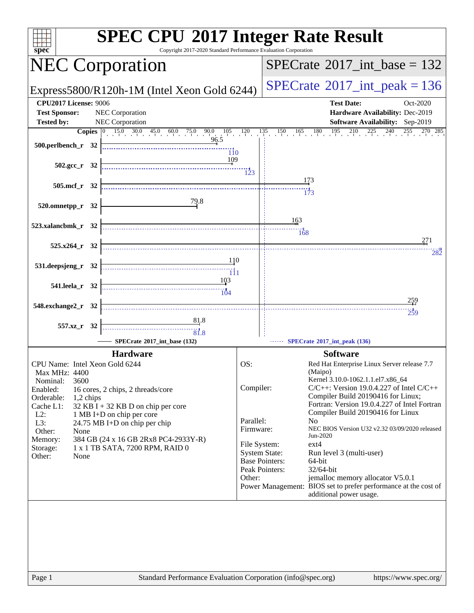| $spec^*$                                                                                                                                                                                                                                                                                                                                                                                                                                                                                                                                                                                                                                                                              | <b>SPEC CPU®2017 Integer Rate Result</b><br>Copyright 2017-2020 Standard Performance Evaluation Corporation                                                                                                                                                                                                                                                                                                                                                                                                                                                                                                                                                                                                        |
|---------------------------------------------------------------------------------------------------------------------------------------------------------------------------------------------------------------------------------------------------------------------------------------------------------------------------------------------------------------------------------------------------------------------------------------------------------------------------------------------------------------------------------------------------------------------------------------------------------------------------------------------------------------------------------------|--------------------------------------------------------------------------------------------------------------------------------------------------------------------------------------------------------------------------------------------------------------------------------------------------------------------------------------------------------------------------------------------------------------------------------------------------------------------------------------------------------------------------------------------------------------------------------------------------------------------------------------------------------------------------------------------------------------------|
| <b>NEC Corporation</b>                                                                                                                                                                                                                                                                                                                                                                                                                                                                                                                                                                                                                                                                | $SPECTate@2017\_int\_base = 132$                                                                                                                                                                                                                                                                                                                                                                                                                                                                                                                                                                                                                                                                                   |
| Express5800/R120h-1M (Intel Xeon Gold 6244)                                                                                                                                                                                                                                                                                                                                                                                                                                                                                                                                                                                                                                           | $SPECrate^{\circ}2017\_int\_peak = 136$                                                                                                                                                                                                                                                                                                                                                                                                                                                                                                                                                                                                                                                                            |
| <b>CPU2017 License: 9006</b><br><b>Test Sponsor:</b><br>NEC Corporation<br><b>Tested by:</b><br><b>NEC Corporation</b><br>500.perlbench_r 32<br>$\overline{110}$<br>109<br>$502.\text{gcc}_r$ 32<br>505.mcf_r 32<br>79.8<br>520.omnetpp_r 32<br>523.xalancbmk_r 32<br>$525.x264_r$ 32<br>110<br>531.deepsjeng_r 32<br>$\frac{1}{\frac{1}{11}}$<br>103<br>541.leela_r 32<br>$\begin{array}{c c c c c} \hline \rule{0pt}{2.5ex} & & \vdots \cr \rule{0pt}{2.5ex} & & \vdots \cr \rule{0pt}{2.5ex} & & \vdots \cr \rule{0pt}{2.5ex} & & \vdots \cr \rule{0pt}{2.5ex} & & \vdots \cr \rule{0pt}{2.5ex} & & \vdots \cr \rule{0pt}{2.5ex} & & \vdots \cr \end{array}$<br>548.exchange2_r 32 | <b>Test Date:</b><br>Oct-2020<br>Hardware Availability: Dec-2019<br>Software Availability: Sep-2019<br>173<br>163<br>168<br>271<br>282<br><u> 259</u><br>259                                                                                                                                                                                                                                                                                                                                                                                                                                                                                                                                                       |
| <u>81</u> .8<br>557.xz_r 32<br>31.8<br>SPECrate®2017_int_base (132)                                                                                                                                                                                                                                                                                                                                                                                                                                                                                                                                                                                                                   | SPECrate®2017_int_peak (136)                                                                                                                                                                                                                                                                                                                                                                                                                                                                                                                                                                                                                                                                                       |
| <b>Hardware</b><br>CPU Name: Intel Xeon Gold 6244<br>Max MHz: 4400<br>3600<br>Nominal:<br>Enabled:<br>16 cores, 2 chips, 2 threads/core<br>Orderable:<br>1,2 chips<br>Cache L1:<br>$32$ KB I + 32 KB D on chip per core<br>$L2$ :<br>1 MB I+D on chip per core<br>L3:<br>24.75 MB I+D on chip per chip<br>Other:<br>None<br>Memory:<br>384 GB (24 x 16 GB 2Rx8 PC4-2933Y-R)<br>1 x 1 TB SATA, 7200 RPM, RAID 0<br>Storage:<br>Other:<br>None                                                                                                                                                                                                                                          | <b>Software</b><br>OS:<br>Red Hat Enterprise Linux Server release 7.7<br>(Maipo)<br>Kernel 3.10.0-1062.1.1.el7.x86_64<br>Compiler:<br>$C/C++$ : Version 19.0.4.227 of Intel $C/C++$<br>Compiler Build 20190416 for Linux;<br>Fortran: Version 19.0.4.227 of Intel Fortran<br>Compiler Build 20190416 for Linux<br>Parallel:<br>N <sub>o</sub><br>Firmware:<br>NEC BIOS Version U32 v2.32 03/09/2020 released<br>Jun-2020<br>ext4<br>File System:<br><b>System State:</b><br>Run level 3 (multi-user)<br><b>Base Pointers:</b><br>64-bit<br>Peak Pointers:<br>32/64-bit<br>jemalloc memory allocator V5.0.1<br>Other:<br>Power Management: BIOS set to prefer performance at the cost of<br>additional power usage. |
| Page 1                                                                                                                                                                                                                                                                                                                                                                                                                                                                                                                                                                                                                                                                                | Standard Performance Evaluation Corporation (info@spec.org)<br>https://www.spec.org/                                                                                                                                                                                                                                                                                                                                                                                                                                                                                                                                                                                                                               |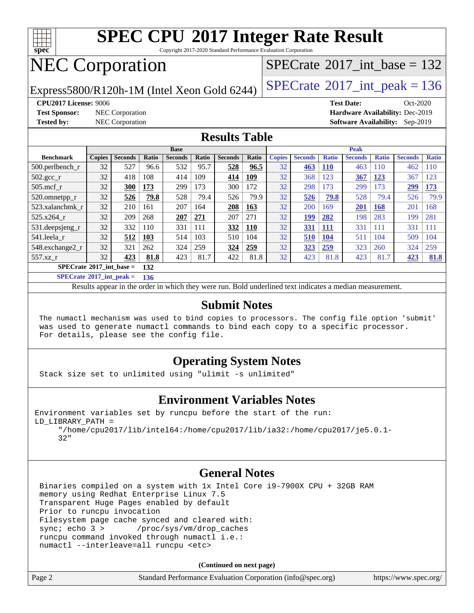

Copyright 2017-2020 Standard Performance Evaluation Corporation

## NEC Corporation

Express5800/R120h-1M (Intel Xeon Gold 6244)  $\left|$  [SPECrate](http://www.spec.org/auto/cpu2017/Docs/result-fields.html#SPECrate2017intpeak)<sup>®</sup>[2017\\_int\\_peak = 1](http://www.spec.org/auto/cpu2017/Docs/result-fields.html#SPECrate2017intpeak)36

 $SPECTate@2017_int\_base = 132$ 

**[Test Sponsor:](http://www.spec.org/auto/cpu2017/Docs/result-fields.html#TestSponsor)** NEC Corporation **[Hardware Availability:](http://www.spec.org/auto/cpu2017/Docs/result-fields.html#HardwareAvailability)** Dec-2019

**[CPU2017 License:](http://www.spec.org/auto/cpu2017/Docs/result-fields.html#CPU2017License)** 9006 **[Test Date:](http://www.spec.org/auto/cpu2017/Docs/result-fields.html#TestDate)** Oct-2020 **[Tested by:](http://www.spec.org/auto/cpu2017/Docs/result-fields.html#Testedby)** NEC Corporation **[Software Availability:](http://www.spec.org/auto/cpu2017/Docs/result-fields.html#SoftwareAvailability)** Sep-2019

#### **[Results Table](http://www.spec.org/auto/cpu2017/Docs/result-fields.html#ResultsTable)**

|                                     | <b>Base</b>   |                |              |                |              | <b>Peak</b>    |       |               |                |              |                |              |                |              |
|-------------------------------------|---------------|----------------|--------------|----------------|--------------|----------------|-------|---------------|----------------|--------------|----------------|--------------|----------------|--------------|
| <b>Benchmark</b>                    | <b>Copies</b> | <b>Seconds</b> | <b>Ratio</b> | <b>Seconds</b> | <b>Ratio</b> | <b>Seconds</b> | Ratio | <b>Copies</b> | <b>Seconds</b> | <b>Ratio</b> | <b>Seconds</b> | <b>Ratio</b> | <b>Seconds</b> | <b>Ratio</b> |
| $500.$ perlbench_r                  | 32            | 527            | 96.6         | 532            | 95.7         | 528            | 96.5  | 32            | 463            | <b>110</b>   | 463            | 110          | 462            | <b>110</b>   |
| 502.gcc_r                           | 32            | 418            | 108          | 414            | 109          | 414            | 109   | 32            | 368            | 123          | 367            | 123          | 367            | 123          |
| $505$ .mcf r                        | 32            | 300            | 173          | 299            | 173          | 300            | 172   | 32            | 298            | 173          | 299            | 173          | 299            | 173          |
| 520.omnetpp_r                       | 32            | 526            | 79.8         | 528            | 79.4         | 526            | 79.9  | 32            | 526            | 79.8         | 528            | 79.4         | 526            | 79.9         |
| 523.xalancbmk r                     | 32            | 210            | 161          | 207            | 164          | 208            | 163   | 32            | 200            | 169          | <b>201</b>     | 168          | 201            | 168          |
| 525.x264 r                          | 32            | 209            | 268          | 207            | 271          | 207            | 271   | 32            | <u>199</u>     | 282          | 198            | 283          | 199            | 281          |
| 531.deepsjeng_r                     | 32            | 332            | 110          | 331            | 111          | 332            | 110   | 32            | <b>331</b>     | <u>111</u>   | 331            | 111          | 331            | 111          |
| 541.leela r                         | 32            | 512            | 103          | 514            | 103          | 510            | 104   | 32            | 510            | 104          | 511            | 104          | 509            | 104          |
| 548.exchange2_r                     | 32            | 321            | 262          | 324            | 259          | 324            | 259   | 32            | <u>323</u>     | <u>259</u>   | 323            | 260          | 324            | 259          |
| 557.xz r                            | 32            | 423            | 81.8         | 423            | 81.7         | 422            | 81.8  | 32            | 423            | 81.8         | 423            | 81.7         | 423            | 81.8         |
| $SPECrate^{\otimes}2017$ int base = |               |                | 132          |                |              |                |       |               |                |              |                |              |                |              |

**[SPECrate](http://www.spec.org/auto/cpu2017/Docs/result-fields.html#SPECrate2017intpeak)[2017\\_int\\_peak =](http://www.spec.org/auto/cpu2017/Docs/result-fields.html#SPECrate2017intpeak) 136**

Results appear in the [order in which they were run.](http://www.spec.org/auto/cpu2017/Docs/result-fields.html#RunOrder) Bold underlined text [indicates a median measurement.](http://www.spec.org/auto/cpu2017/Docs/result-fields.html#Median)

#### **[Submit Notes](http://www.spec.org/auto/cpu2017/Docs/result-fields.html#SubmitNotes)**

 The numactl mechanism was used to bind copies to processors. The config file option 'submit' was used to generate numactl commands to bind each copy to a specific processor. For details, please see the config file.

### **[Operating System Notes](http://www.spec.org/auto/cpu2017/Docs/result-fields.html#OperatingSystemNotes)**

Stack size set to unlimited using "ulimit -s unlimited"

#### **[Environment Variables Notes](http://www.spec.org/auto/cpu2017/Docs/result-fields.html#EnvironmentVariablesNotes)**

```
Environment variables set by runcpu before the start of the run:
LD_LIBRARY_PATH =
      "/home/cpu2017/lib/intel64:/home/cpu2017/lib/ia32:/home/cpu2017/je5.0.1-
```
32"

### **[General Notes](http://www.spec.org/auto/cpu2017/Docs/result-fields.html#GeneralNotes)**

 Binaries compiled on a system with 1x Intel Core i9-7900X CPU + 32GB RAM memory using Redhat Enterprise Linux 7.5 Transparent Huge Pages enabled by default Prior to runcpu invocation Filesystem page cache synced and cleared with: sync; echo 3 > /proc/sys/vm/drop\_caches runcpu command invoked through numactl i.e.: numactl --interleave=all runcpu <etc>

| Page 2 | Standard Performance Evaluation Corporation (info@spec.org) | https://www.spec.org/ |
|--------|-------------------------------------------------------------|-----------------------|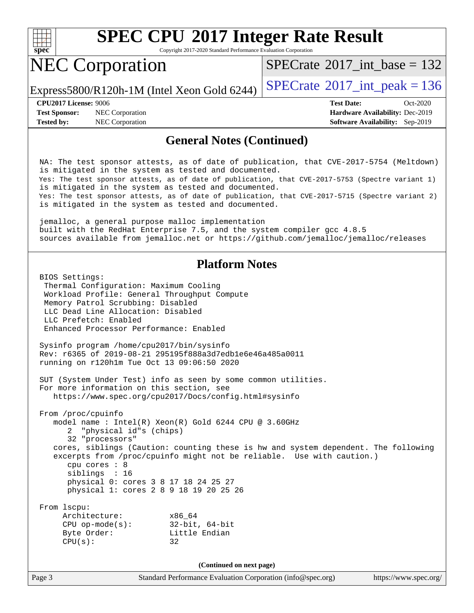

Copyright 2017-2020 Standard Performance Evaluation Corporation

## NEC Corporation

 $SPECTate@2017_int\_base = 132$ 

Express5800/R120h-1M (Intel Xeon Gold 6244)  $\left|$  [SPECrate](http://www.spec.org/auto/cpu2017/Docs/result-fields.html#SPECrate2017intpeak)<sup>®</sup>[2017\\_int\\_peak = 1](http://www.spec.org/auto/cpu2017/Docs/result-fields.html#SPECrate2017intpeak)36

**[Test Sponsor:](http://www.spec.org/auto/cpu2017/Docs/result-fields.html#TestSponsor)** NEC Corporation **[Hardware Availability:](http://www.spec.org/auto/cpu2017/Docs/result-fields.html#HardwareAvailability)** Dec-2019 **[Tested by:](http://www.spec.org/auto/cpu2017/Docs/result-fields.html#Testedby)** NEC Corporation **[Software Availability:](http://www.spec.org/auto/cpu2017/Docs/result-fields.html#SoftwareAvailability)** Sep-2019

**[CPU2017 License:](http://www.spec.org/auto/cpu2017/Docs/result-fields.html#CPU2017License)** 9006 **[Test Date:](http://www.spec.org/auto/cpu2017/Docs/result-fields.html#TestDate)** Oct-2020

#### **[General Notes \(Continued\)](http://www.spec.org/auto/cpu2017/Docs/result-fields.html#GeneralNotes)**

 NA: The test sponsor attests, as of date of publication, that CVE-2017-5754 (Meltdown) is mitigated in the system as tested and documented. Yes: The test sponsor attests, as of date of publication, that CVE-2017-5753 (Spectre variant 1) is mitigated in the system as tested and documented. Yes: The test sponsor attests, as of date of publication, that CVE-2017-5715 (Spectre variant 2) is mitigated in the system as tested and documented.

 jemalloc, a general purpose malloc implementation built with the RedHat Enterprise 7.5, and the system compiler gcc 4.8.5 sources available from jemalloc.net or<https://github.com/jemalloc/jemalloc/releases>

#### **[Platform Notes](http://www.spec.org/auto/cpu2017/Docs/result-fields.html#PlatformNotes)**

 BIOS Settings: Thermal Configuration: Maximum Cooling Workload Profile: General Throughput Compute Memory Patrol Scrubbing: Disabled LLC Dead Line Allocation: Disabled LLC Prefetch: Enabled Enhanced Processor Performance: Enabled

 Sysinfo program /home/cpu2017/bin/sysinfo Rev: r6365 of 2019-08-21 295195f888a3d7edb1e6e46a485a0011 running on r120h1m Tue Oct 13 09:06:50 2020

 SUT (System Under Test) info as seen by some common utilities. For more information on this section, see <https://www.spec.org/cpu2017/Docs/config.html#sysinfo>

 From /proc/cpuinfo model name : Intel(R) Xeon(R) Gold 6244 CPU @ 3.60GHz 2 "physical id"s (chips) 32 "processors" cores, siblings (Caution: counting these is hw and system dependent. The following excerpts from /proc/cpuinfo might not be reliable. Use with caution.) cpu cores : 8 siblings : 16 physical 0: cores 3 8 17 18 24 25 27 physical 1: cores 2 8 9 18 19 20 25 26

| From 1scpu:<br>Architecture:<br>$CPU$ op-mode $(s)$ :<br>Byte Order:<br>CPU(s): | x86 64<br>$32$ -bit, $64$ -bit<br>Little Endian<br>32 |
|---------------------------------------------------------------------------------|-------------------------------------------------------|
|                                                                                 |                                                       |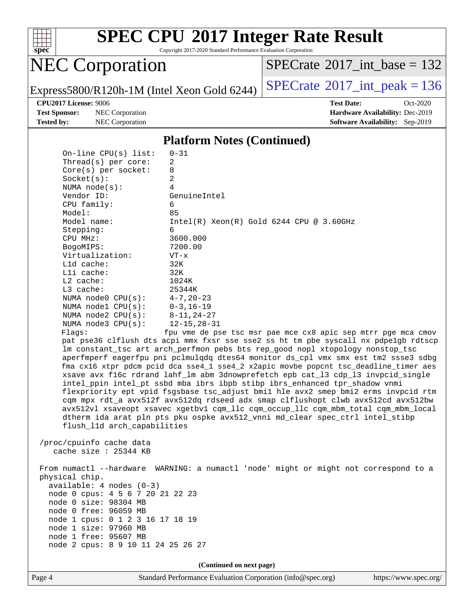

Copyright 2017-2020 Standard Performance Evaluation Corporation

## NEC Corporation

 $SPECrate$ <sup>®</sup>[2017\\_int\\_base =](http://www.spec.org/auto/cpu2017/Docs/result-fields.html#SPECrate2017intbase) 132

Express5800/R120h-1M (Intel Xeon Gold 6244)  $\left|$  [SPECrate](http://www.spec.org/auto/cpu2017/Docs/result-fields.html#SPECrate2017intpeak)<sup>®</sup>[2017\\_int\\_peak = 1](http://www.spec.org/auto/cpu2017/Docs/result-fields.html#SPECrate2017intpeak)36

**[Test Sponsor:](http://www.spec.org/auto/cpu2017/Docs/result-fields.html#TestSponsor)** NEC Corporation **[Hardware Availability:](http://www.spec.org/auto/cpu2017/Docs/result-fields.html#HardwareAvailability)** Dec-2019 **[Tested by:](http://www.spec.org/auto/cpu2017/Docs/result-fields.html#Testedby)** NEC Corporation **[Software Availability:](http://www.spec.org/auto/cpu2017/Docs/result-fields.html#SoftwareAvailability)** Sep-2019

**[CPU2017 License:](http://www.spec.org/auto/cpu2017/Docs/result-fields.html#CPU2017License)** 9006 **[Test Date:](http://www.spec.org/auto/cpu2017/Docs/result-fields.html#TestDate)** Oct-2020

#### **[Platform Notes \(Continued\)](http://www.spec.org/auto/cpu2017/Docs/result-fields.html#PlatformNotes)**

| flush_l1d arch_capabilities<br>/proc/cpuinfo cache data<br>cache size $: 25344$ KB<br>physical chip.<br>$available: 4 nodes (0-3)$<br>node 0 cpus: 4 5 6 7 20 21 22 23<br>node 0 size: 98304 MB<br>node 0 free: 96059 MB<br>node 1 cpus: 0 1 2 3 16 17 18 19<br>node 1 size: 97960 MB<br>node 1 free: 95607 MB<br>node 2 cpus: 8 9 10 11 24 25 26 27 | xsave avx f16c rdrand lahf_lm abm 3dnowprefetch epb cat_13 cdp_13 invpcid_single<br>intel_ppin intel_pt ssbd mba ibrs ibpb stibp ibrs_enhanced tpr_shadow vnmi<br>flexpriority ept vpid fsgsbase tsc_adjust bmil hle avx2 smep bmi2 erms invpcid rtm<br>cqm mpx rdt_a avx512f avx512dq rdseed adx smap clflushopt clwb avx512cd avx512bw<br>avx512vl xsaveopt xsavec xgetbvl cqm_llc cqm_occup_llc cqm_mbm_total cqm_mbm_local<br>dtherm ida arat pln pts pku ospke avx512_vnni md_clear spec_ctrl intel_stibp<br>From numactl --hardware WARNING: a numactl 'node' might or might not correspond to a |
|------------------------------------------------------------------------------------------------------------------------------------------------------------------------------------------------------------------------------------------------------------------------------------------------------------------------------------------------------|--------------------------------------------------------------------------------------------------------------------------------------------------------------------------------------------------------------------------------------------------------------------------------------------------------------------------------------------------------------------------------------------------------------------------------------------------------------------------------------------------------------------------------------------------------------------------------------------------------|
|                                                                                                                                                                                                                                                                                                                                                      |                                                                                                                                                                                                                                                                                                                                                                                                                                                                                                                                                                                                        |
|                                                                                                                                                                                                                                                                                                                                                      |                                                                                                                                                                                                                                                                                                                                                                                                                                                                                                                                                                                                        |
|                                                                                                                                                                                                                                                                                                                                                      |                                                                                                                                                                                                                                                                                                                                                                                                                                                                                                                                                                                                        |
|                                                                                                                                                                                                                                                                                                                                                      |                                                                                                                                                                                                                                                                                                                                                                                                                                                                                                                                                                                                        |
|                                                                                                                                                                                                                                                                                                                                                      |                                                                                                                                                                                                                                                                                                                                                                                                                                                                                                                                                                                                        |
|                                                                                                                                                                                                                                                                                                                                                      |                                                                                                                                                                                                                                                                                                                                                                                                                                                                                                                                                                                                        |
|                                                                                                                                                                                                                                                                                                                                                      |                                                                                                                                                                                                                                                                                                                                                                                                                                                                                                                                                                                                        |
|                                                                                                                                                                                                                                                                                                                                                      |                                                                                                                                                                                                                                                                                                                                                                                                                                                                                                                                                                                                        |
|                                                                                                                                                                                                                                                                                                                                                      |                                                                                                                                                                                                                                                                                                                                                                                                                                                                                                                                                                                                        |
|                                                                                                                                                                                                                                                                                                                                                      |                                                                                                                                                                                                                                                                                                                                                                                                                                                                                                                                                                                                        |
|                                                                                                                                                                                                                                                                                                                                                      |                                                                                                                                                                                                                                                                                                                                                                                                                                                                                                                                                                                                        |
|                                                                                                                                                                                                                                                                                                                                                      |                                                                                                                                                                                                                                                                                                                                                                                                                                                                                                                                                                                                        |
|                                                                                                                                                                                                                                                                                                                                                      |                                                                                                                                                                                                                                                                                                                                                                                                                                                                                                                                                                                                        |
|                                                                                                                                                                                                                                                                                                                                                      |                                                                                                                                                                                                                                                                                                                                                                                                                                                                                                                                                                                                        |
|                                                                                                                                                                                                                                                                                                                                                      |                                                                                                                                                                                                                                                                                                                                                                                                                                                                                                                                                                                                        |
|                                                                                                                                                                                                                                                                                                                                                      |                                                                                                                                                                                                                                                                                                                                                                                                                                                                                                                                                                                                        |
|                                                                                                                                                                                                                                                                                                                                                      |                                                                                                                                                                                                                                                                                                                                                                                                                                                                                                                                                                                                        |
|                                                                                                                                                                                                                                                                                                                                                      |                                                                                                                                                                                                                                                                                                                                                                                                                                                                                                                                                                                                        |
|                                                                                                                                                                                                                                                                                                                                                      |                                                                                                                                                                                                                                                                                                                                                                                                                                                                                                                                                                                                        |
|                                                                                                                                                                                                                                                                                                                                                      | aperfmperf eagerfpu pni pclmulqdq dtes64 monitor ds_cpl vmx smx est tm2 ssse3 sdbg<br>fma cx16 xtpr pdcm pcid dca sse4_1 sse4_2 x2apic movbe popcnt tsc_deadline_timer aes                                                                                                                                                                                                                                                                                                                                                                                                                             |
|                                                                                                                                                                                                                                                                                                                                                      | lm constant_tsc art arch_perfmon pebs bts rep_good nopl xtopology nonstop_tsc                                                                                                                                                                                                                                                                                                                                                                                                                                                                                                                          |
|                                                                                                                                                                                                                                                                                                                                                      | pat pse36 clflush dts acpi mmx fxsr sse sse2 ss ht tm pbe syscall nx pdpelgb rdtscp                                                                                                                                                                                                                                                                                                                                                                                                                                                                                                                    |
| Flagg:                                                                                                                                                                                                                                                                                                                                               | fpu vme de pse tsc msr pae mce cx8 apic sep mtrr pge mca cmov                                                                                                                                                                                                                                                                                                                                                                                                                                                                                                                                          |
| NUMA $node3$ CPU $(s)$ :                                                                                                                                                                                                                                                                                                                             | $12 - 15, 28 - 31$                                                                                                                                                                                                                                                                                                                                                                                                                                                                                                                                                                                     |
| NUMA $node2$ $CPU(s):$                                                                                                                                                                                                                                                                                                                               | $8 - 11, 24 - 27$                                                                                                                                                                                                                                                                                                                                                                                                                                                                                                                                                                                      |
| NUMA $node1$ $CPU(s):$                                                                                                                                                                                                                                                                                                                               | $0 - 3$ , 16-19                                                                                                                                                                                                                                                                                                                                                                                                                                                                                                                                                                                        |
| NUMA $node0$ $CPU(s):$                                                                                                                                                                                                                                                                                                                               | $4 - 7$ , 20 – 23                                                                                                                                                                                                                                                                                                                                                                                                                                                                                                                                                                                      |
| L3 cache:                                                                                                                                                                                                                                                                                                                                            | 25344K                                                                                                                                                                                                                                                                                                                                                                                                                                                                                                                                                                                                 |
| $L2$ cache:                                                                                                                                                                                                                                                                                                                                          | 1024K                                                                                                                                                                                                                                                                                                                                                                                                                                                                                                                                                                                                  |
| Lli cache:                                                                                                                                                                                                                                                                                                                                           | 32K                                                                                                                                                                                                                                                                                                                                                                                                                                                                                                                                                                                                    |
| L1d cache:                                                                                                                                                                                                                                                                                                                                           | 32K                                                                                                                                                                                                                                                                                                                                                                                                                                                                                                                                                                                                    |
| Virtualization:                                                                                                                                                                                                                                                                                                                                      | $VT - x$                                                                                                                                                                                                                                                                                                                                                                                                                                                                                                                                                                                               |
| BogoMIPS:                                                                                                                                                                                                                                                                                                                                            | 7200.00                                                                                                                                                                                                                                                                                                                                                                                                                                                                                                                                                                                                |
| Stepping:<br>CPU MHz:                                                                                                                                                                                                                                                                                                                                | 3600.000                                                                                                                                                                                                                                                                                                                                                                                                                                                                                                                                                                                               |
| Model name:                                                                                                                                                                                                                                                                                                                                          | $Intel(R) Xeon(R) Gold 6244 CPU @ 3.60GHz$<br>6                                                                                                                                                                                                                                                                                                                                                                                                                                                                                                                                                        |
| Model:                                                                                                                                                                                                                                                                                                                                               | 85                                                                                                                                                                                                                                                                                                                                                                                                                                                                                                                                                                                                     |
| CPU family:                                                                                                                                                                                                                                                                                                                                          | 6                                                                                                                                                                                                                                                                                                                                                                                                                                                                                                                                                                                                      |
| Vendor ID:                                                                                                                                                                                                                                                                                                                                           | GenuineIntel                                                                                                                                                                                                                                                                                                                                                                                                                                                                                                                                                                                           |
| NUMA node(s):                                                                                                                                                                                                                                                                                                                                        | 4                                                                                                                                                                                                                                                                                                                                                                                                                                                                                                                                                                                                      |
| Socket(s):                                                                                                                                                                                                                                                                                                                                           | 2                                                                                                                                                                                                                                                                                                                                                                                                                                                                                                                                                                                                      |
|                                                                                                                                                                                                                                                                                                                                                      | 8                                                                                                                                                                                                                                                                                                                                                                                                                                                                                                                                                                                                      |
| $Core(s)$ per socket:                                                                                                                                                                                                                                                                                                                                |                                                                                                                                                                                                                                                                                                                                                                                                                                                                                                                                                                                                        |
| Thread(s) per core:                                                                                                                                                                                                                                                                                                                                  | 2                                                                                                                                                                                                                                                                                                                                                                                                                                                                                                                                                                                                      |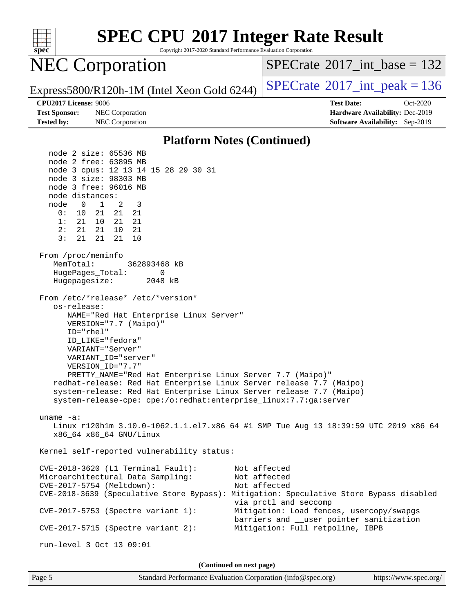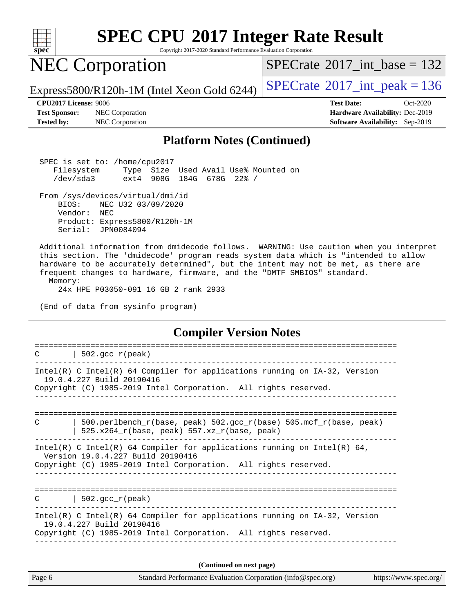

Copyright 2017-2020 Standard Performance Evaluation Corporation

## NEC Corporation

 $SPECTate@2017_int\_base = 132$ 

Express5800/R120h-1M (Intel Xeon Gold 6244)  $SPECrate^{\circ}2017\_int\_peak = 136$  $SPECrate^{\circ}2017\_int\_peak = 136$ 

**[Tested by:](http://www.spec.org/auto/cpu2017/Docs/result-fields.html#Testedby)** NEC Corporation **[Software Availability:](http://www.spec.org/auto/cpu2017/Docs/result-fields.html#SoftwareAvailability)** Sep-2019

**[CPU2017 License:](http://www.spec.org/auto/cpu2017/Docs/result-fields.html#CPU2017License)** 9006 **[Test Date:](http://www.spec.org/auto/cpu2017/Docs/result-fields.html#TestDate)** Oct-2020 **[Test Sponsor:](http://www.spec.org/auto/cpu2017/Docs/result-fields.html#TestSponsor)** NEC Corporation **[Hardware Availability:](http://www.spec.org/auto/cpu2017/Docs/result-fields.html#HardwareAvailability)** Dec-2019

#### **[Platform Notes \(Continued\)](http://www.spec.org/auto/cpu2017/Docs/result-fields.html#PlatformNotes)**

 SPEC is set to: /home/cpu2017 Filesystem Type Size Used Avail Use% Mounted on /dev/sda3 ext4 908G 184G 678G 22% /

#### From /sys/devices/virtual/dmi/id

 BIOS: NEC U32 03/09/2020 Vendor: NEC Product: Express5800/R120h-1M

Serial: JPN0084094

 Additional information from dmidecode follows. WARNING: Use caution when you interpret this section. The 'dmidecode' program reads system data which is "intended to allow hardware to be accurately determined", but the intent may not be met, as there are frequent changes to hardware, firmware, and the "DMTF SMBIOS" standard. Memory:

24x HPE P03050-091 16 GB 2 rank 2933

(End of data from sysinfo program)

#### **[Compiler Version Notes](http://www.spec.org/auto/cpu2017/Docs/result-fields.html#CompilerVersionNotes)**

==============================================================================  $C$  | 502.gcc\_r(peak) ------------------------------------------------------------------------------ Intel(R) C Intel(R) 64 Compiler for applications running on IA-32, Version 19.0.4.227 Build 20190416 Copyright (C) 1985-2019 Intel Corporation. All rights reserved. ------------------------------------------------------------------------------ ============================================================================== C | 500.perlbench\_r(base, peak) 502.gcc\_r(base) 505.mcf\_r(base, peak) | 525.x264 $r(base, peak)$  557.xz $r(base, peak)$ ------------------------------------------------------------------------------ Intel(R) C Intel(R) 64 Compiler for applications running on Intel(R) 64, Version 19.0.4.227 Build 20190416 Copyright (C) 1985-2019 Intel Corporation. All rights reserved. ------------------------------------------------------------------------------ ==============================================================================  $C \qquad \qquad | \; 502.\text{gcc\_r}(\text{peak})$ ------------------------------------------------------------------------------ Intel(R) C Intel(R) 64 Compiler for applications running on IA-32, Version 19.0.4.227 Build 20190416 Copyright (C) 1985-2019 Intel Corporation. All rights reserved. ------------------------------------------------------------------------------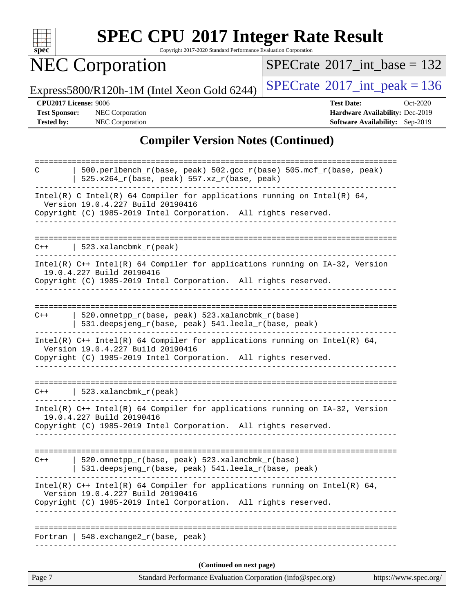

Copyright 2017-2020 Standard Performance Evaluation Corporation

# NEC Corporation

 $SPECrate$ <sup>®</sup>[2017\\_int\\_base =](http://www.spec.org/auto/cpu2017/Docs/result-fields.html#SPECrate2017intbase) 132

Express5800/R120h-1M (Intel Xeon Gold 6244)  $\left|$  [SPECrate](http://www.spec.org/auto/cpu2017/Docs/result-fields.html#SPECrate2017intpeak)<sup>®</sup>[2017\\_int\\_peak = 1](http://www.spec.org/auto/cpu2017/Docs/result-fields.html#SPECrate2017intpeak)36

**[CPU2017 License:](http://www.spec.org/auto/cpu2017/Docs/result-fields.html#CPU2017License)** 9006 **[Test Date:](http://www.spec.org/auto/cpu2017/Docs/result-fields.html#TestDate)** Oct-2020 **[Test Sponsor:](http://www.spec.org/auto/cpu2017/Docs/result-fields.html#TestSponsor)** NEC Corporation **[Hardware Availability:](http://www.spec.org/auto/cpu2017/Docs/result-fields.html#HardwareAvailability)** Dec-2019 **[Tested by:](http://www.spec.org/auto/cpu2017/Docs/result-fields.html#Testedby)** NEC Corporation **[Software Availability:](http://www.spec.org/auto/cpu2017/Docs/result-fields.html#SoftwareAvailability)** Sep-2019

### **[Compiler Version Notes \(Continued\)](http://www.spec.org/auto/cpu2017/Docs/result-fields.html#CompilerVersionNotes)**

| Page 7 | Standard Performance Evaluation Corporation (info@spec.org)                                                       | https://www.spec.org/ |
|--------|-------------------------------------------------------------------------------------------------------------------|-----------------------|
|        | (Continued on next page)                                                                                          |                       |
|        | Fortran   $548$ . exchange $2\degree$ r (base, peak)                                                              |                       |
|        |                                                                                                                   |                       |
|        | Version 19.0.4.227 Build 20190416<br>Copyright (C) 1985-2019 Intel Corporation. All rights reserved.              |                       |
|        | Intel(R) $C++$ Intel(R) 64 Compiler for applications running on Intel(R) 64,                                      |                       |
| $C++$  | 520.omnetpp_r(base, peak) 523.xalancbmk_r(base)<br>531.deepsjeng_r(base, peak) 541.leela_r(base, peak)            |                       |
|        | Copyright (C) 1985-2019 Intel Corporation. All rights reserved.                                                   |                       |
|        | Intel(R) C++ Intel(R) 64 Compiler for applications running on IA-32, Version<br>19.0.4.227 Build 20190416         |                       |
|        | $C++$   523.xalancbmk_r(peak)                                                                                     |                       |
|        | Copyright (C) 1985-2019 Intel Corporation. All rights reserved.                                                   |                       |
|        | Intel(R) $C++$ Intel(R) 64 Compiler for applications running on Intel(R) 64,<br>Version 19.0.4.227 Build 20190416 |                       |
| C++    | 520.omnetpp_r(base, peak) 523.xalancbmk_r(base)<br>531.deepsjeng_r(base, peak) 541.leela_r(base, peak)            |                       |
|        |                                                                                                                   |                       |
|        | 19.0.4.227 Build 20190416<br>Copyright (C) 1985-2019 Intel Corporation. All rights reserved.                      |                       |
|        | _________________________<br>Intel(R) C++ Intel(R) 64 Compiler for applications running on IA-32, Version         |                       |
| $C++$  | $523.xalanchm k_r (peak)$                                                                                         |                       |
|        | Copyright (C) 1985-2019 Intel Corporation. All rights reserved.                                                   |                       |
|        | Intel(R) C Intel(R) 64 Compiler for applications running on Intel(R) 64,<br>Version 19.0.4.227 Build 20190416     |                       |
| C      | 500.perlbench_r(base, peak) 502.gcc_r(base) 505.mcf_r(base, peak)<br>525.x264_r(base, peak) 557.xz_r(base, peak)  |                       |
|        |                                                                                                                   |                       |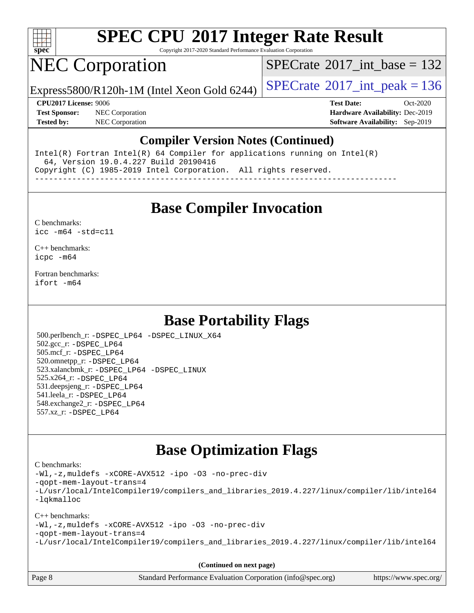

Copyright 2017-2020 Standard Performance Evaluation Corporation

## NEC Corporation

 $SPECTate@2017_int\_base = 132$ 

Express5800/R120h-1M (Intel Xeon Gold 6244)  $\left|$  [SPECrate](http://www.spec.org/auto/cpu2017/Docs/result-fields.html#SPECrate2017intpeak)<sup>®</sup>[2017\\_int\\_peak = 1](http://www.spec.org/auto/cpu2017/Docs/result-fields.html#SPECrate2017intpeak)36

**[Test Sponsor:](http://www.spec.org/auto/cpu2017/Docs/result-fields.html#TestSponsor)** NEC Corporation **[Hardware Availability:](http://www.spec.org/auto/cpu2017/Docs/result-fields.html#HardwareAvailability)** Dec-2019 **[Tested by:](http://www.spec.org/auto/cpu2017/Docs/result-fields.html#Testedby)** NEC Corporation **[Software Availability:](http://www.spec.org/auto/cpu2017/Docs/result-fields.html#SoftwareAvailability)** Sep-2019

**[CPU2017 License:](http://www.spec.org/auto/cpu2017/Docs/result-fields.html#CPU2017License)** 9006 **[Test Date:](http://www.spec.org/auto/cpu2017/Docs/result-fields.html#TestDate)** Oct-2020

#### **[Compiler Version Notes \(Continued\)](http://www.spec.org/auto/cpu2017/Docs/result-fields.html#CompilerVersionNotes)**

Intel(R) Fortran Intel(R) 64 Compiler for applications running on Intel(R) 64, Version 19.0.4.227 Build 20190416 Copyright (C) 1985-2019 Intel Corporation. All rights reserved. ------------------------------------------------------------------------------

**[Base Compiler Invocation](http://www.spec.org/auto/cpu2017/Docs/result-fields.html#BaseCompilerInvocation)**

#### [C benchmarks](http://www.spec.org/auto/cpu2017/Docs/result-fields.html#Cbenchmarks): [icc -m64 -std=c11](http://www.spec.org/cpu2017/results/res2020q4/cpu2017-20201026-24270.flags.html#user_CCbase_intel_icc_64bit_c11_33ee0cdaae7deeeab2a9725423ba97205ce30f63b9926c2519791662299b76a0318f32ddfffdc46587804de3178b4f9328c46fa7c2b0cd779d7a61945c91cd35)

[C++ benchmarks:](http://www.spec.org/auto/cpu2017/Docs/result-fields.html#CXXbenchmarks) [icpc -m64](http://www.spec.org/cpu2017/results/res2020q4/cpu2017-20201026-24270.flags.html#user_CXXbase_intel_icpc_64bit_4ecb2543ae3f1412ef961e0650ca070fec7b7afdcd6ed48761b84423119d1bf6bdf5cad15b44d48e7256388bc77273b966e5eb805aefd121eb22e9299b2ec9d9)

[Fortran benchmarks](http://www.spec.org/auto/cpu2017/Docs/result-fields.html#Fortranbenchmarks): [ifort -m64](http://www.spec.org/cpu2017/results/res2020q4/cpu2017-20201026-24270.flags.html#user_FCbase_intel_ifort_64bit_24f2bb282fbaeffd6157abe4f878425411749daecae9a33200eee2bee2fe76f3b89351d69a8130dd5949958ce389cf37ff59a95e7a40d588e8d3a57e0c3fd751)

### **[Base Portability Flags](http://www.spec.org/auto/cpu2017/Docs/result-fields.html#BasePortabilityFlags)**

 500.perlbench\_r: [-DSPEC\\_LP64](http://www.spec.org/cpu2017/results/res2020q4/cpu2017-20201026-24270.flags.html#b500.perlbench_r_basePORTABILITY_DSPEC_LP64) [-DSPEC\\_LINUX\\_X64](http://www.spec.org/cpu2017/results/res2020q4/cpu2017-20201026-24270.flags.html#b500.perlbench_r_baseCPORTABILITY_DSPEC_LINUX_X64) 502.gcc\_r: [-DSPEC\\_LP64](http://www.spec.org/cpu2017/results/res2020q4/cpu2017-20201026-24270.flags.html#suite_basePORTABILITY502_gcc_r_DSPEC_LP64) 505.mcf\_r: [-DSPEC\\_LP64](http://www.spec.org/cpu2017/results/res2020q4/cpu2017-20201026-24270.flags.html#suite_basePORTABILITY505_mcf_r_DSPEC_LP64) 520.omnetpp\_r: [-DSPEC\\_LP64](http://www.spec.org/cpu2017/results/res2020q4/cpu2017-20201026-24270.flags.html#suite_basePORTABILITY520_omnetpp_r_DSPEC_LP64) 523.xalancbmk\_r: [-DSPEC\\_LP64](http://www.spec.org/cpu2017/results/res2020q4/cpu2017-20201026-24270.flags.html#suite_basePORTABILITY523_xalancbmk_r_DSPEC_LP64) [-DSPEC\\_LINUX](http://www.spec.org/cpu2017/results/res2020q4/cpu2017-20201026-24270.flags.html#b523.xalancbmk_r_baseCXXPORTABILITY_DSPEC_LINUX) 525.x264\_r: [-DSPEC\\_LP64](http://www.spec.org/cpu2017/results/res2020q4/cpu2017-20201026-24270.flags.html#suite_basePORTABILITY525_x264_r_DSPEC_LP64) 531.deepsjeng\_r: [-DSPEC\\_LP64](http://www.spec.org/cpu2017/results/res2020q4/cpu2017-20201026-24270.flags.html#suite_basePORTABILITY531_deepsjeng_r_DSPEC_LP64) 541.leela\_r: [-DSPEC\\_LP64](http://www.spec.org/cpu2017/results/res2020q4/cpu2017-20201026-24270.flags.html#suite_basePORTABILITY541_leela_r_DSPEC_LP64) 548.exchange2\_r: [-DSPEC\\_LP64](http://www.spec.org/cpu2017/results/res2020q4/cpu2017-20201026-24270.flags.html#suite_basePORTABILITY548_exchange2_r_DSPEC_LP64) 557.xz\_r: [-DSPEC\\_LP64](http://www.spec.org/cpu2017/results/res2020q4/cpu2017-20201026-24270.flags.html#suite_basePORTABILITY557_xz_r_DSPEC_LP64)

## **[Base Optimization Flags](http://www.spec.org/auto/cpu2017/Docs/result-fields.html#BaseOptimizationFlags)**

#### [C benchmarks](http://www.spec.org/auto/cpu2017/Docs/result-fields.html#Cbenchmarks):

[-Wl,-z,muldefs](http://www.spec.org/cpu2017/results/res2020q4/cpu2017-20201026-24270.flags.html#user_CCbase_link_force_multiple1_b4cbdb97b34bdee9ceefcfe54f4c8ea74255f0b02a4b23e853cdb0e18eb4525ac79b5a88067c842dd0ee6996c24547a27a4b99331201badda8798ef8a743f577) [-xCORE-AVX512](http://www.spec.org/cpu2017/results/res2020q4/cpu2017-20201026-24270.flags.html#user_CCbase_f-xCORE-AVX512) [-ipo](http://www.spec.org/cpu2017/results/res2020q4/cpu2017-20201026-24270.flags.html#user_CCbase_f-ipo) [-O3](http://www.spec.org/cpu2017/results/res2020q4/cpu2017-20201026-24270.flags.html#user_CCbase_f-O3) [-no-prec-div](http://www.spec.org/cpu2017/results/res2020q4/cpu2017-20201026-24270.flags.html#user_CCbase_f-no-prec-div) [-qopt-mem-layout-trans=4](http://www.spec.org/cpu2017/results/res2020q4/cpu2017-20201026-24270.flags.html#user_CCbase_f-qopt-mem-layout-trans_fa39e755916c150a61361b7846f310bcdf6f04e385ef281cadf3647acec3f0ae266d1a1d22d972a7087a248fd4e6ca390a3634700869573d231a252c784941a8) [-L/usr/local/IntelCompiler19/compilers\\_and\\_libraries\\_2019.4.227/linux/compiler/lib/intel64](http://www.spec.org/cpu2017/results/res2020q4/cpu2017-20201026-24270.flags.html#user_CCbase_qkmalloc_link_0ffe0cb02c68ef1b443a077c7888c10c67ca0d1dd7138472156f06a085bbad385f78d49618ad55dca9db3b1608e84afc2f69b4003b1d1ca498a9fc1462ccefda) [-lqkmalloc](http://www.spec.org/cpu2017/results/res2020q4/cpu2017-20201026-24270.flags.html#user_CCbase_qkmalloc_link_lib_79a818439969f771c6bc311cfd333c00fc099dad35c030f5aab9dda831713d2015205805422f83de8875488a2991c0a156aaa600e1f9138f8fc37004abc96dc5)

#### [C++ benchmarks](http://www.spec.org/auto/cpu2017/Docs/result-fields.html#CXXbenchmarks):

[-Wl,-z,muldefs](http://www.spec.org/cpu2017/results/res2020q4/cpu2017-20201026-24270.flags.html#user_CXXbase_link_force_multiple1_b4cbdb97b34bdee9ceefcfe54f4c8ea74255f0b02a4b23e853cdb0e18eb4525ac79b5a88067c842dd0ee6996c24547a27a4b99331201badda8798ef8a743f577) [-xCORE-AVX512](http://www.spec.org/cpu2017/results/res2020q4/cpu2017-20201026-24270.flags.html#user_CXXbase_f-xCORE-AVX512) [-ipo](http://www.spec.org/cpu2017/results/res2020q4/cpu2017-20201026-24270.flags.html#user_CXXbase_f-ipo) [-O3](http://www.spec.org/cpu2017/results/res2020q4/cpu2017-20201026-24270.flags.html#user_CXXbase_f-O3) [-no-prec-div](http://www.spec.org/cpu2017/results/res2020q4/cpu2017-20201026-24270.flags.html#user_CXXbase_f-no-prec-div) [-qopt-mem-layout-trans=4](http://www.spec.org/cpu2017/results/res2020q4/cpu2017-20201026-24270.flags.html#user_CXXbase_f-qopt-mem-layout-trans_fa39e755916c150a61361b7846f310bcdf6f04e385ef281cadf3647acec3f0ae266d1a1d22d972a7087a248fd4e6ca390a3634700869573d231a252c784941a8) [-L/usr/local/IntelCompiler19/compilers\\_and\\_libraries\\_2019.4.227/linux/compiler/lib/intel64](http://www.spec.org/cpu2017/results/res2020q4/cpu2017-20201026-24270.flags.html#user_CXXbase_qkmalloc_link_0ffe0cb02c68ef1b443a077c7888c10c67ca0d1dd7138472156f06a085bbad385f78d49618ad55dca9db3b1608e84afc2f69b4003b1d1ca498a9fc1462ccefda)

| Page 8 | Standard Performance Evaluation Corporation (info@spec.org) | https://www.spec.org/ |
|--------|-------------------------------------------------------------|-----------------------|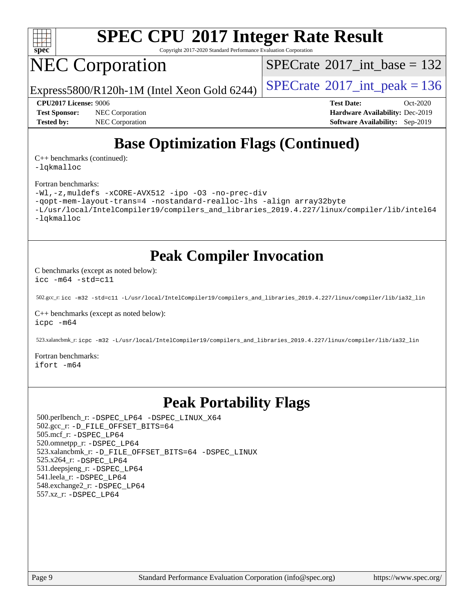

Copyright 2017-2020 Standard Performance Evaluation Corporation

## NEC Corporation

 $SPECTate@2017_int\_base = 132$ 

Express5800/R120h-1M (Intel Xeon Gold 6244)  $\left|$  [SPECrate](http://www.spec.org/auto/cpu2017/Docs/result-fields.html#SPECrate2017intpeak)<sup>®</sup>[2017\\_int\\_peak = 1](http://www.spec.org/auto/cpu2017/Docs/result-fields.html#SPECrate2017intpeak)36

**[Test Sponsor:](http://www.spec.org/auto/cpu2017/Docs/result-fields.html#TestSponsor)** NEC Corporation **[Hardware Availability:](http://www.spec.org/auto/cpu2017/Docs/result-fields.html#HardwareAvailability)** Dec-2019 **[Tested by:](http://www.spec.org/auto/cpu2017/Docs/result-fields.html#Testedby)** NEC Corporation **[Software Availability:](http://www.spec.org/auto/cpu2017/Docs/result-fields.html#SoftwareAvailability)** Sep-2019

**[CPU2017 License:](http://www.spec.org/auto/cpu2017/Docs/result-fields.html#CPU2017License)** 9006 **[Test Date:](http://www.spec.org/auto/cpu2017/Docs/result-fields.html#TestDate)** Oct-2020

## **[Base Optimization Flags \(Continued\)](http://www.spec.org/auto/cpu2017/Docs/result-fields.html#BaseOptimizationFlags)**

[C++ benchmarks](http://www.spec.org/auto/cpu2017/Docs/result-fields.html#CXXbenchmarks) (continued): [-lqkmalloc](http://www.spec.org/cpu2017/results/res2020q4/cpu2017-20201026-24270.flags.html#user_CXXbase_qkmalloc_link_lib_79a818439969f771c6bc311cfd333c00fc099dad35c030f5aab9dda831713d2015205805422f83de8875488a2991c0a156aaa600e1f9138f8fc37004abc96dc5)

#### [Fortran benchmarks](http://www.spec.org/auto/cpu2017/Docs/result-fields.html#Fortranbenchmarks):

```
-Wl,-z,muldefs -xCORE-AVX512 -ipo -O3 -no-prec-div
-qopt-mem-layout-trans=4 -nostandard-realloc-lhs -align array32byte
-L/usr/local/IntelCompiler19/compilers_and_libraries_2019.4.227/linux/compiler/lib/intel64
-lqkmalloc
```
**[Peak Compiler Invocation](http://www.spec.org/auto/cpu2017/Docs/result-fields.html#PeakCompilerInvocation)**

[C benchmarks \(except as noted below\)](http://www.spec.org/auto/cpu2017/Docs/result-fields.html#Cbenchmarksexceptasnotedbelow):

[icc -m64 -std=c11](http://www.spec.org/cpu2017/results/res2020q4/cpu2017-20201026-24270.flags.html#user_CCpeak_intel_icc_64bit_c11_33ee0cdaae7deeeab2a9725423ba97205ce30f63b9926c2519791662299b76a0318f32ddfffdc46587804de3178b4f9328c46fa7c2b0cd779d7a61945c91cd35)

502.gcc\_r: [icc -m32 -std=c11 -L/usr/local/IntelCompiler19/compilers\\_and\\_libraries\\_2019.4.227/linux/compiler/lib/ia32\\_lin](http://www.spec.org/cpu2017/results/res2020q4/cpu2017-20201026-24270.flags.html#user_peakCCLD502_gcc_r_intel_icc_38a193a897536fa645efb1dc6ac2bea2bddbbe56f130e144a606d1b2649003f27c79f8814020c1f9355cbbf0d7ab0d194a7a979ee1e2a95641bbb8cf571aac7b)

[C++ benchmarks \(except as noted below\)](http://www.spec.org/auto/cpu2017/Docs/result-fields.html#CXXbenchmarksexceptasnotedbelow): [icpc -m64](http://www.spec.org/cpu2017/results/res2020q4/cpu2017-20201026-24270.flags.html#user_CXXpeak_intel_icpc_64bit_4ecb2543ae3f1412ef961e0650ca070fec7b7afdcd6ed48761b84423119d1bf6bdf5cad15b44d48e7256388bc77273b966e5eb805aefd121eb22e9299b2ec9d9)

523.xalancbmk\_r: [icpc -m32 -L/usr/local/IntelCompiler19/compilers\\_and\\_libraries\\_2019.4.227/linux/compiler/lib/ia32\\_lin](http://www.spec.org/cpu2017/results/res2020q4/cpu2017-20201026-24270.flags.html#user_peakCXXLD523_xalancbmk_r_intel_icpc_840f965b38320ad10acba6032d6ca4c816e722c432c250f3408feae347068ba449f694544a48cf12cd3bde3495e328e6747ab0f629c2925d3062e2ee144af951)

[Fortran benchmarks](http://www.spec.org/auto/cpu2017/Docs/result-fields.html#Fortranbenchmarks): [ifort -m64](http://www.spec.org/cpu2017/results/res2020q4/cpu2017-20201026-24270.flags.html#user_FCpeak_intel_ifort_64bit_24f2bb282fbaeffd6157abe4f878425411749daecae9a33200eee2bee2fe76f3b89351d69a8130dd5949958ce389cf37ff59a95e7a40d588e8d3a57e0c3fd751)

## **[Peak Portability Flags](http://www.spec.org/auto/cpu2017/Docs/result-fields.html#PeakPortabilityFlags)**

 500.perlbench\_r: [-DSPEC\\_LP64](http://www.spec.org/cpu2017/results/res2020q4/cpu2017-20201026-24270.flags.html#b500.perlbench_r_peakPORTABILITY_DSPEC_LP64) [-DSPEC\\_LINUX\\_X64](http://www.spec.org/cpu2017/results/res2020q4/cpu2017-20201026-24270.flags.html#b500.perlbench_r_peakCPORTABILITY_DSPEC_LINUX_X64) 502.gcc\_r: [-D\\_FILE\\_OFFSET\\_BITS=64](http://www.spec.org/cpu2017/results/res2020q4/cpu2017-20201026-24270.flags.html#user_peakPORTABILITY502_gcc_r_file_offset_bits_64_5ae949a99b284ddf4e95728d47cb0843d81b2eb0e18bdfe74bbf0f61d0b064f4bda2f10ea5eb90e1dcab0e84dbc592acfc5018bc955c18609f94ddb8d550002c) 505.mcf\_r: [-DSPEC\\_LP64](http://www.spec.org/cpu2017/results/res2020q4/cpu2017-20201026-24270.flags.html#suite_peakPORTABILITY505_mcf_r_DSPEC_LP64) 520.omnetpp\_r: [-DSPEC\\_LP64](http://www.spec.org/cpu2017/results/res2020q4/cpu2017-20201026-24270.flags.html#suite_peakPORTABILITY520_omnetpp_r_DSPEC_LP64) 523.xalancbmk\_r: [-D\\_FILE\\_OFFSET\\_BITS=64](http://www.spec.org/cpu2017/results/res2020q4/cpu2017-20201026-24270.flags.html#user_peakPORTABILITY523_xalancbmk_r_file_offset_bits_64_5ae949a99b284ddf4e95728d47cb0843d81b2eb0e18bdfe74bbf0f61d0b064f4bda2f10ea5eb90e1dcab0e84dbc592acfc5018bc955c18609f94ddb8d550002c) [-DSPEC\\_LINUX](http://www.spec.org/cpu2017/results/res2020q4/cpu2017-20201026-24270.flags.html#b523.xalancbmk_r_peakCXXPORTABILITY_DSPEC_LINUX) 525.x264\_r: [-DSPEC\\_LP64](http://www.spec.org/cpu2017/results/res2020q4/cpu2017-20201026-24270.flags.html#suite_peakPORTABILITY525_x264_r_DSPEC_LP64) 531.deepsjeng\_r: [-DSPEC\\_LP64](http://www.spec.org/cpu2017/results/res2020q4/cpu2017-20201026-24270.flags.html#suite_peakPORTABILITY531_deepsjeng_r_DSPEC_LP64) 541.leela\_r: [-DSPEC\\_LP64](http://www.spec.org/cpu2017/results/res2020q4/cpu2017-20201026-24270.flags.html#suite_peakPORTABILITY541_leela_r_DSPEC_LP64) 548.exchange2\_r: [-DSPEC\\_LP64](http://www.spec.org/cpu2017/results/res2020q4/cpu2017-20201026-24270.flags.html#suite_peakPORTABILITY548_exchange2_r_DSPEC_LP64) 557.xz\_r: [-DSPEC\\_LP64](http://www.spec.org/cpu2017/results/res2020q4/cpu2017-20201026-24270.flags.html#suite_peakPORTABILITY557_xz_r_DSPEC_LP64)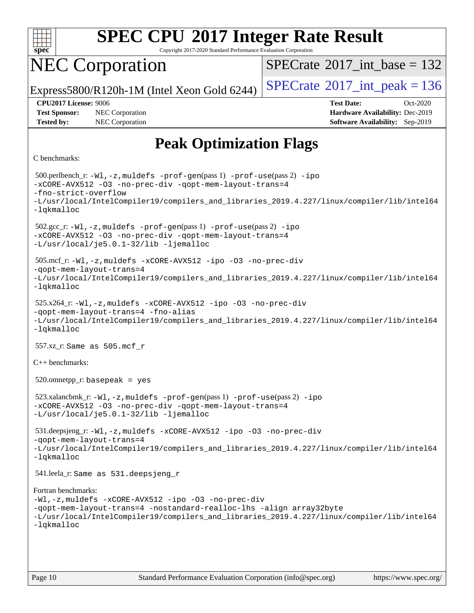

Copyright 2017-2020 Standard Performance Evaluation Corporation

## NEC Corporation

 $SPECTate@2017_int\_base = 132$ 

Express5800/R120h-1M (Intel Xeon Gold 6244)  $\left|$  [SPECrate](http://www.spec.org/auto/cpu2017/Docs/result-fields.html#SPECrate2017intpeak)<sup>®</sup>[2017\\_int\\_peak = 1](http://www.spec.org/auto/cpu2017/Docs/result-fields.html#SPECrate2017intpeak)36

**[Tested by:](http://www.spec.org/auto/cpu2017/Docs/result-fields.html#Testedby)** NEC Corporation **[Software Availability:](http://www.spec.org/auto/cpu2017/Docs/result-fields.html#SoftwareAvailability)** Sep-2019

**[CPU2017 License:](http://www.spec.org/auto/cpu2017/Docs/result-fields.html#CPU2017License)** 9006 **[Test Date:](http://www.spec.org/auto/cpu2017/Docs/result-fields.html#TestDate)** Oct-2020 **[Test Sponsor:](http://www.spec.org/auto/cpu2017/Docs/result-fields.html#TestSponsor)** NEC Corporation **[Hardware Availability:](http://www.spec.org/auto/cpu2017/Docs/result-fields.html#HardwareAvailability)** Dec-2019

## **[Peak Optimization Flags](http://www.spec.org/auto/cpu2017/Docs/result-fields.html#PeakOptimizationFlags)**

#### [C benchmarks:](http://www.spec.org/auto/cpu2017/Docs/result-fields.html#Cbenchmarks)

 500.perlbench\_r: [-Wl,-z,muldefs](http://www.spec.org/cpu2017/results/res2020q4/cpu2017-20201026-24270.flags.html#user_peakEXTRA_LDFLAGS500_perlbench_r_link_force_multiple1_b4cbdb97b34bdee9ceefcfe54f4c8ea74255f0b02a4b23e853cdb0e18eb4525ac79b5a88067c842dd0ee6996c24547a27a4b99331201badda8798ef8a743f577) [-prof-gen](http://www.spec.org/cpu2017/results/res2020q4/cpu2017-20201026-24270.flags.html#user_peakPASS1_CFLAGSPASS1_LDFLAGS500_perlbench_r_prof_gen_5aa4926d6013ddb2a31985c654b3eb18169fc0c6952a63635c234f711e6e63dd76e94ad52365559451ec499a2cdb89e4dc58ba4c67ef54ca681ffbe1461d6b36)(pass 1) [-prof-use](http://www.spec.org/cpu2017/results/res2020q4/cpu2017-20201026-24270.flags.html#user_peakPASS2_CFLAGSPASS2_LDFLAGS500_perlbench_r_prof_use_1a21ceae95f36a2b53c25747139a6c16ca95bd9def2a207b4f0849963b97e94f5260e30a0c64f4bb623698870e679ca08317ef8150905d41bd88c6f78df73f19)(pass 2) [-ipo](http://www.spec.org/cpu2017/results/res2020q4/cpu2017-20201026-24270.flags.html#user_peakPASS1_COPTIMIZEPASS2_COPTIMIZE500_perlbench_r_f-ipo) [-xCORE-AVX512](http://www.spec.org/cpu2017/results/res2020q4/cpu2017-20201026-24270.flags.html#user_peakPASS2_COPTIMIZE500_perlbench_r_f-xCORE-AVX512) [-O3](http://www.spec.org/cpu2017/results/res2020q4/cpu2017-20201026-24270.flags.html#user_peakPASS1_COPTIMIZEPASS2_COPTIMIZE500_perlbench_r_f-O3) [-no-prec-div](http://www.spec.org/cpu2017/results/res2020q4/cpu2017-20201026-24270.flags.html#user_peakPASS1_COPTIMIZEPASS2_COPTIMIZE500_perlbench_r_f-no-prec-div) [-qopt-mem-layout-trans=4](http://www.spec.org/cpu2017/results/res2020q4/cpu2017-20201026-24270.flags.html#user_peakPASS1_COPTIMIZEPASS2_COPTIMIZE500_perlbench_r_f-qopt-mem-layout-trans_fa39e755916c150a61361b7846f310bcdf6f04e385ef281cadf3647acec3f0ae266d1a1d22d972a7087a248fd4e6ca390a3634700869573d231a252c784941a8) [-fno-strict-overflow](http://www.spec.org/cpu2017/results/res2020q4/cpu2017-20201026-24270.flags.html#user_peakEXTRA_OPTIMIZE500_perlbench_r_f-fno-strict-overflow) [-L/usr/local/IntelCompiler19/compilers\\_and\\_libraries\\_2019.4.227/linux/compiler/lib/intel64](http://www.spec.org/cpu2017/results/res2020q4/cpu2017-20201026-24270.flags.html#user_peakEXTRA_LIBS500_perlbench_r_qkmalloc_link_0ffe0cb02c68ef1b443a077c7888c10c67ca0d1dd7138472156f06a085bbad385f78d49618ad55dca9db3b1608e84afc2f69b4003b1d1ca498a9fc1462ccefda) [-lqkmalloc](http://www.spec.org/cpu2017/results/res2020q4/cpu2017-20201026-24270.flags.html#user_peakEXTRA_LIBS500_perlbench_r_qkmalloc_link_lib_79a818439969f771c6bc311cfd333c00fc099dad35c030f5aab9dda831713d2015205805422f83de8875488a2991c0a156aaa600e1f9138f8fc37004abc96dc5) 502.gcc\_r: [-Wl,-z,muldefs](http://www.spec.org/cpu2017/results/res2020q4/cpu2017-20201026-24270.flags.html#user_peakEXTRA_LDFLAGS502_gcc_r_link_force_multiple1_b4cbdb97b34bdee9ceefcfe54f4c8ea74255f0b02a4b23e853cdb0e18eb4525ac79b5a88067c842dd0ee6996c24547a27a4b99331201badda8798ef8a743f577) [-prof-gen](http://www.spec.org/cpu2017/results/res2020q4/cpu2017-20201026-24270.flags.html#user_peakPASS1_CFLAGSPASS1_LDFLAGS502_gcc_r_prof_gen_5aa4926d6013ddb2a31985c654b3eb18169fc0c6952a63635c234f711e6e63dd76e94ad52365559451ec499a2cdb89e4dc58ba4c67ef54ca681ffbe1461d6b36)(pass 1) [-prof-use](http://www.spec.org/cpu2017/results/res2020q4/cpu2017-20201026-24270.flags.html#user_peakPASS2_CFLAGSPASS2_LDFLAGS502_gcc_r_prof_use_1a21ceae95f36a2b53c25747139a6c16ca95bd9def2a207b4f0849963b97e94f5260e30a0c64f4bb623698870e679ca08317ef8150905d41bd88c6f78df73f19)(pass 2) [-ipo](http://www.spec.org/cpu2017/results/res2020q4/cpu2017-20201026-24270.flags.html#user_peakPASS1_COPTIMIZEPASS2_COPTIMIZE502_gcc_r_f-ipo) [-xCORE-AVX512](http://www.spec.org/cpu2017/results/res2020q4/cpu2017-20201026-24270.flags.html#user_peakPASS2_COPTIMIZE502_gcc_r_f-xCORE-AVX512) [-O3](http://www.spec.org/cpu2017/results/res2020q4/cpu2017-20201026-24270.flags.html#user_peakPASS1_COPTIMIZEPASS2_COPTIMIZE502_gcc_r_f-O3) [-no-prec-div](http://www.spec.org/cpu2017/results/res2020q4/cpu2017-20201026-24270.flags.html#user_peakPASS1_COPTIMIZEPASS2_COPTIMIZE502_gcc_r_f-no-prec-div) [-qopt-mem-layout-trans=4](http://www.spec.org/cpu2017/results/res2020q4/cpu2017-20201026-24270.flags.html#user_peakPASS1_COPTIMIZEPASS2_COPTIMIZE502_gcc_r_f-qopt-mem-layout-trans_fa39e755916c150a61361b7846f310bcdf6f04e385ef281cadf3647acec3f0ae266d1a1d22d972a7087a248fd4e6ca390a3634700869573d231a252c784941a8) [-L/usr/local/je5.0.1-32/lib](http://www.spec.org/cpu2017/results/res2020q4/cpu2017-20201026-24270.flags.html#user_peakEXTRA_LIBS502_gcc_r_jemalloc_link_path32_e29f22e8e6c17053bbc6a0971f5a9c01a601a06bb1a59df2084b77a2fe0a2995b64fd4256feaeea39eeba3aae142e96e2b2b0a28974019c0c0c88139a84f900a) [-ljemalloc](http://www.spec.org/cpu2017/results/res2020q4/cpu2017-20201026-24270.flags.html#user_peakEXTRA_LIBS502_gcc_r_jemalloc_link_lib_d1249b907c500fa1c0672f44f562e3d0f79738ae9e3c4a9c376d49f265a04b9c99b167ecedbf6711b3085be911c67ff61f150a17b3472be731631ba4d0471706) 505.mcf\_r: [-Wl,-z,muldefs](http://www.spec.org/cpu2017/results/res2020q4/cpu2017-20201026-24270.flags.html#user_peakEXTRA_LDFLAGS505_mcf_r_link_force_multiple1_b4cbdb97b34bdee9ceefcfe54f4c8ea74255f0b02a4b23e853cdb0e18eb4525ac79b5a88067c842dd0ee6996c24547a27a4b99331201badda8798ef8a743f577) [-xCORE-AVX512](http://www.spec.org/cpu2017/results/res2020q4/cpu2017-20201026-24270.flags.html#user_peakCOPTIMIZE505_mcf_r_f-xCORE-AVX512) [-ipo](http://www.spec.org/cpu2017/results/res2020q4/cpu2017-20201026-24270.flags.html#user_peakCOPTIMIZE505_mcf_r_f-ipo) [-O3](http://www.spec.org/cpu2017/results/res2020q4/cpu2017-20201026-24270.flags.html#user_peakCOPTIMIZE505_mcf_r_f-O3) [-no-prec-div](http://www.spec.org/cpu2017/results/res2020q4/cpu2017-20201026-24270.flags.html#user_peakCOPTIMIZE505_mcf_r_f-no-prec-div) [-qopt-mem-layout-trans=4](http://www.spec.org/cpu2017/results/res2020q4/cpu2017-20201026-24270.flags.html#user_peakCOPTIMIZE505_mcf_r_f-qopt-mem-layout-trans_fa39e755916c150a61361b7846f310bcdf6f04e385ef281cadf3647acec3f0ae266d1a1d22d972a7087a248fd4e6ca390a3634700869573d231a252c784941a8) [-L/usr/local/IntelCompiler19/compilers\\_and\\_libraries\\_2019.4.227/linux/compiler/lib/intel64](http://www.spec.org/cpu2017/results/res2020q4/cpu2017-20201026-24270.flags.html#user_peakEXTRA_LIBS505_mcf_r_qkmalloc_link_0ffe0cb02c68ef1b443a077c7888c10c67ca0d1dd7138472156f06a085bbad385f78d49618ad55dca9db3b1608e84afc2f69b4003b1d1ca498a9fc1462ccefda) [-lqkmalloc](http://www.spec.org/cpu2017/results/res2020q4/cpu2017-20201026-24270.flags.html#user_peakEXTRA_LIBS505_mcf_r_qkmalloc_link_lib_79a818439969f771c6bc311cfd333c00fc099dad35c030f5aab9dda831713d2015205805422f83de8875488a2991c0a156aaa600e1f9138f8fc37004abc96dc5) 525.x264\_r: [-Wl,-z,muldefs](http://www.spec.org/cpu2017/results/res2020q4/cpu2017-20201026-24270.flags.html#user_peakEXTRA_LDFLAGS525_x264_r_link_force_multiple1_b4cbdb97b34bdee9ceefcfe54f4c8ea74255f0b02a4b23e853cdb0e18eb4525ac79b5a88067c842dd0ee6996c24547a27a4b99331201badda8798ef8a743f577) [-xCORE-AVX512](http://www.spec.org/cpu2017/results/res2020q4/cpu2017-20201026-24270.flags.html#user_peakCOPTIMIZE525_x264_r_f-xCORE-AVX512) [-ipo](http://www.spec.org/cpu2017/results/res2020q4/cpu2017-20201026-24270.flags.html#user_peakCOPTIMIZE525_x264_r_f-ipo) [-O3](http://www.spec.org/cpu2017/results/res2020q4/cpu2017-20201026-24270.flags.html#user_peakCOPTIMIZE525_x264_r_f-O3) [-no-prec-div](http://www.spec.org/cpu2017/results/res2020q4/cpu2017-20201026-24270.flags.html#user_peakCOPTIMIZE525_x264_r_f-no-prec-div) [-qopt-mem-layout-trans=4](http://www.spec.org/cpu2017/results/res2020q4/cpu2017-20201026-24270.flags.html#user_peakCOPTIMIZE525_x264_r_f-qopt-mem-layout-trans_fa39e755916c150a61361b7846f310bcdf6f04e385ef281cadf3647acec3f0ae266d1a1d22d972a7087a248fd4e6ca390a3634700869573d231a252c784941a8) [-fno-alias](http://www.spec.org/cpu2017/results/res2020q4/cpu2017-20201026-24270.flags.html#user_peakEXTRA_OPTIMIZE525_x264_r_f-no-alias_77dbac10d91cbfe898fbf4a29d1b29b694089caa623bdd1baccc9957d4edbe8d106c0b357e2748a65b44fc9e83d78098bb898077f3fe92f9faf24f7bd4a07ed7) [-L/usr/local/IntelCompiler19/compilers\\_and\\_libraries\\_2019.4.227/linux/compiler/lib/intel64](http://www.spec.org/cpu2017/results/res2020q4/cpu2017-20201026-24270.flags.html#user_peakEXTRA_LIBS525_x264_r_qkmalloc_link_0ffe0cb02c68ef1b443a077c7888c10c67ca0d1dd7138472156f06a085bbad385f78d49618ad55dca9db3b1608e84afc2f69b4003b1d1ca498a9fc1462ccefda) [-lqkmalloc](http://www.spec.org/cpu2017/results/res2020q4/cpu2017-20201026-24270.flags.html#user_peakEXTRA_LIBS525_x264_r_qkmalloc_link_lib_79a818439969f771c6bc311cfd333c00fc099dad35c030f5aab9dda831713d2015205805422f83de8875488a2991c0a156aaa600e1f9138f8fc37004abc96dc5) 557.xz\_r: Same as 505.mcf\_r [C++ benchmarks:](http://www.spec.org/auto/cpu2017/Docs/result-fields.html#CXXbenchmarks)  $520.$ omnetpp\_r: basepeak = yes 523.xalancbmk\_r: [-Wl,-z,muldefs](http://www.spec.org/cpu2017/results/res2020q4/cpu2017-20201026-24270.flags.html#user_peakEXTRA_LDFLAGS523_xalancbmk_r_link_force_multiple1_b4cbdb97b34bdee9ceefcfe54f4c8ea74255f0b02a4b23e853cdb0e18eb4525ac79b5a88067c842dd0ee6996c24547a27a4b99331201badda8798ef8a743f577) [-prof-gen](http://www.spec.org/cpu2017/results/res2020q4/cpu2017-20201026-24270.flags.html#user_peakPASS1_CXXFLAGSPASS1_LDFLAGS523_xalancbmk_r_prof_gen_5aa4926d6013ddb2a31985c654b3eb18169fc0c6952a63635c234f711e6e63dd76e94ad52365559451ec499a2cdb89e4dc58ba4c67ef54ca681ffbe1461d6b36)(pass 1) [-prof-use](http://www.spec.org/cpu2017/results/res2020q4/cpu2017-20201026-24270.flags.html#user_peakPASS2_CXXFLAGSPASS2_LDFLAGS523_xalancbmk_r_prof_use_1a21ceae95f36a2b53c25747139a6c16ca95bd9def2a207b4f0849963b97e94f5260e30a0c64f4bb623698870e679ca08317ef8150905d41bd88c6f78df73f19)(pass 2) [-ipo](http://www.spec.org/cpu2017/results/res2020q4/cpu2017-20201026-24270.flags.html#user_peakPASS1_CXXOPTIMIZEPASS2_CXXOPTIMIZE523_xalancbmk_r_f-ipo) [-xCORE-AVX512](http://www.spec.org/cpu2017/results/res2020q4/cpu2017-20201026-24270.flags.html#user_peakPASS2_CXXOPTIMIZE523_xalancbmk_r_f-xCORE-AVX512) [-O3](http://www.spec.org/cpu2017/results/res2020q4/cpu2017-20201026-24270.flags.html#user_peakPASS1_CXXOPTIMIZEPASS2_CXXOPTIMIZE523_xalancbmk_r_f-O3) [-no-prec-div](http://www.spec.org/cpu2017/results/res2020q4/cpu2017-20201026-24270.flags.html#user_peakPASS1_CXXOPTIMIZEPASS2_CXXOPTIMIZE523_xalancbmk_r_f-no-prec-div) [-qopt-mem-layout-trans=4](http://www.spec.org/cpu2017/results/res2020q4/cpu2017-20201026-24270.flags.html#user_peakPASS1_CXXOPTIMIZEPASS2_CXXOPTIMIZE523_xalancbmk_r_f-qopt-mem-layout-trans_fa39e755916c150a61361b7846f310bcdf6f04e385ef281cadf3647acec3f0ae266d1a1d22d972a7087a248fd4e6ca390a3634700869573d231a252c784941a8) [-L/usr/local/je5.0.1-32/lib](http://www.spec.org/cpu2017/results/res2020q4/cpu2017-20201026-24270.flags.html#user_peakEXTRA_LIBS523_xalancbmk_r_jemalloc_link_path32_e29f22e8e6c17053bbc6a0971f5a9c01a601a06bb1a59df2084b77a2fe0a2995b64fd4256feaeea39eeba3aae142e96e2b2b0a28974019c0c0c88139a84f900a) [-ljemalloc](http://www.spec.org/cpu2017/results/res2020q4/cpu2017-20201026-24270.flags.html#user_peakEXTRA_LIBS523_xalancbmk_r_jemalloc_link_lib_d1249b907c500fa1c0672f44f562e3d0f79738ae9e3c4a9c376d49f265a04b9c99b167ecedbf6711b3085be911c67ff61f150a17b3472be731631ba4d0471706) 531.deepsjeng\_r: [-Wl,-z,muldefs](http://www.spec.org/cpu2017/results/res2020q4/cpu2017-20201026-24270.flags.html#user_peakEXTRA_LDFLAGS531_deepsjeng_r_link_force_multiple1_b4cbdb97b34bdee9ceefcfe54f4c8ea74255f0b02a4b23e853cdb0e18eb4525ac79b5a88067c842dd0ee6996c24547a27a4b99331201badda8798ef8a743f577) [-xCORE-AVX512](http://www.spec.org/cpu2017/results/res2020q4/cpu2017-20201026-24270.flags.html#user_peakCXXOPTIMIZE531_deepsjeng_r_f-xCORE-AVX512) [-ipo](http://www.spec.org/cpu2017/results/res2020q4/cpu2017-20201026-24270.flags.html#user_peakCXXOPTIMIZE531_deepsjeng_r_f-ipo) [-O3](http://www.spec.org/cpu2017/results/res2020q4/cpu2017-20201026-24270.flags.html#user_peakCXXOPTIMIZE531_deepsjeng_r_f-O3) [-no-prec-div](http://www.spec.org/cpu2017/results/res2020q4/cpu2017-20201026-24270.flags.html#user_peakCXXOPTIMIZE531_deepsjeng_r_f-no-prec-div) [-qopt-mem-layout-trans=4](http://www.spec.org/cpu2017/results/res2020q4/cpu2017-20201026-24270.flags.html#user_peakCXXOPTIMIZE531_deepsjeng_r_f-qopt-mem-layout-trans_fa39e755916c150a61361b7846f310bcdf6f04e385ef281cadf3647acec3f0ae266d1a1d22d972a7087a248fd4e6ca390a3634700869573d231a252c784941a8) [-L/usr/local/IntelCompiler19/compilers\\_and\\_libraries\\_2019.4.227/linux/compiler/lib/intel64](http://www.spec.org/cpu2017/results/res2020q4/cpu2017-20201026-24270.flags.html#user_peakEXTRA_LIBS531_deepsjeng_r_qkmalloc_link_0ffe0cb02c68ef1b443a077c7888c10c67ca0d1dd7138472156f06a085bbad385f78d49618ad55dca9db3b1608e84afc2f69b4003b1d1ca498a9fc1462ccefda) [-lqkmalloc](http://www.spec.org/cpu2017/results/res2020q4/cpu2017-20201026-24270.flags.html#user_peakEXTRA_LIBS531_deepsjeng_r_qkmalloc_link_lib_79a818439969f771c6bc311cfd333c00fc099dad35c030f5aab9dda831713d2015205805422f83de8875488a2991c0a156aaa600e1f9138f8fc37004abc96dc5) 541.leela\_r: Same as 531.deepsjeng\_r [Fortran benchmarks](http://www.spec.org/auto/cpu2017/Docs/result-fields.html#Fortranbenchmarks): [-Wl,-z,muldefs](http://www.spec.org/cpu2017/results/res2020q4/cpu2017-20201026-24270.flags.html#user_FCpeak_link_force_multiple1_b4cbdb97b34bdee9ceefcfe54f4c8ea74255f0b02a4b23e853cdb0e18eb4525ac79b5a88067c842dd0ee6996c24547a27a4b99331201badda8798ef8a743f577) [-xCORE-AVX512](http://www.spec.org/cpu2017/results/res2020q4/cpu2017-20201026-24270.flags.html#user_FCpeak_f-xCORE-AVX512) [-ipo](http://www.spec.org/cpu2017/results/res2020q4/cpu2017-20201026-24270.flags.html#user_FCpeak_f-ipo) [-O3](http://www.spec.org/cpu2017/results/res2020q4/cpu2017-20201026-24270.flags.html#user_FCpeak_f-O3) [-no-prec-div](http://www.spec.org/cpu2017/results/res2020q4/cpu2017-20201026-24270.flags.html#user_FCpeak_f-no-prec-div) [-qopt-mem-layout-trans=4](http://www.spec.org/cpu2017/results/res2020q4/cpu2017-20201026-24270.flags.html#user_FCpeak_f-qopt-mem-layout-trans_fa39e755916c150a61361b7846f310bcdf6f04e385ef281cadf3647acec3f0ae266d1a1d22d972a7087a248fd4e6ca390a3634700869573d231a252c784941a8) [-nostandard-realloc-lhs](http://www.spec.org/cpu2017/results/res2020q4/cpu2017-20201026-24270.flags.html#user_FCpeak_f_2003_std_realloc_82b4557e90729c0f113870c07e44d33d6f5a304b4f63d4c15d2d0f1fab99f5daaed73bdb9275d9ae411527f28b936061aa8b9c8f2d63842963b95c9dd6426b8a) [-align array32byte](http://www.spec.org/cpu2017/results/res2020q4/cpu2017-20201026-24270.flags.html#user_FCpeak_align_array32byte_b982fe038af199962ba9a80c053b8342c548c85b40b8e86eb3cc33dee0d7986a4af373ac2d51c3f7cf710a18d62fdce2948f201cd044323541f22fc0fffc51b6) [-L/usr/local/IntelCompiler19/compilers\\_and\\_libraries\\_2019.4.227/linux/compiler/lib/intel64](http://www.spec.org/cpu2017/results/res2020q4/cpu2017-20201026-24270.flags.html#user_FCpeak_qkmalloc_link_0ffe0cb02c68ef1b443a077c7888c10c67ca0d1dd7138472156f06a085bbad385f78d49618ad55dca9db3b1608e84afc2f69b4003b1d1ca498a9fc1462ccefda) [-lqkmalloc](http://www.spec.org/cpu2017/results/res2020q4/cpu2017-20201026-24270.flags.html#user_FCpeak_qkmalloc_link_lib_79a818439969f771c6bc311cfd333c00fc099dad35c030f5aab9dda831713d2015205805422f83de8875488a2991c0a156aaa600e1f9138f8fc37004abc96dc5)